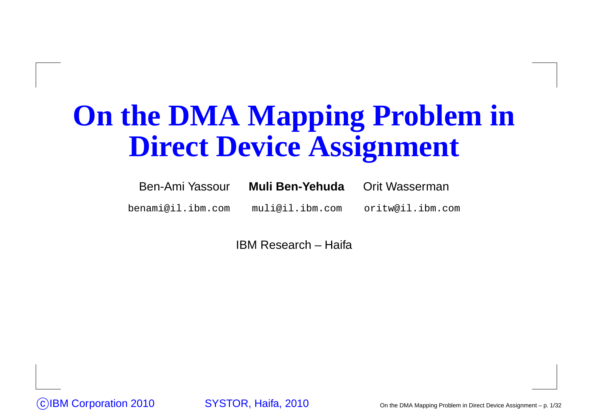## **On the DMA Mapping Problem inDirect Device Assignment**

| Ben-Ami Yassour   | Muli Ben-Yehuda | Orit Wasserman   |
|-------------------|-----------------|------------------|
| benami@il.ibm.com | muli@il.ibm.com | oritw@il.ibm.com |

IBM Research – Haifa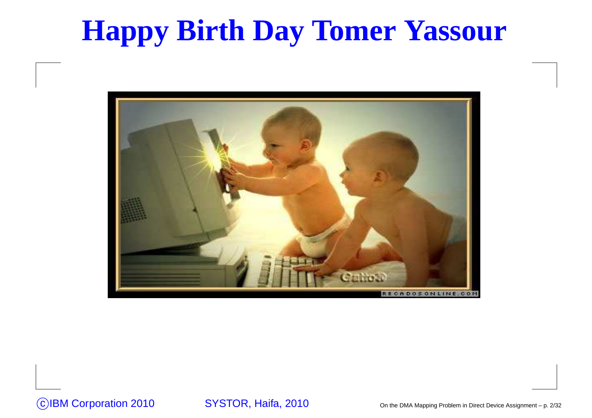## **Happy Birth Day Tomer Yassour**

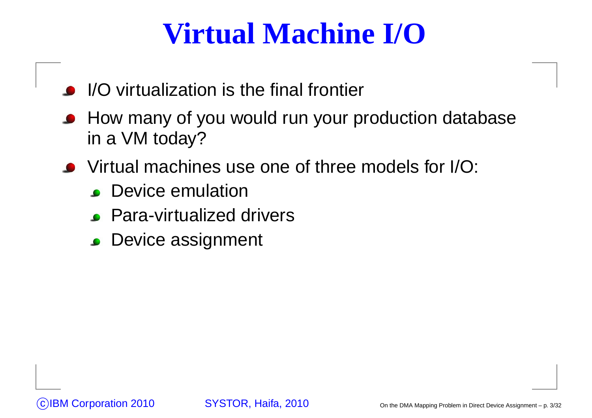## **Virtual Machine I/O**

- I/O virtualization is the final frontier
- **How many of you would run your production database** in <sup>a</sup> VM today?
- Virtual machines use one of three models for I/O:
	- **Device emulation**
	- Para-virtualized drivers
	- Device assignment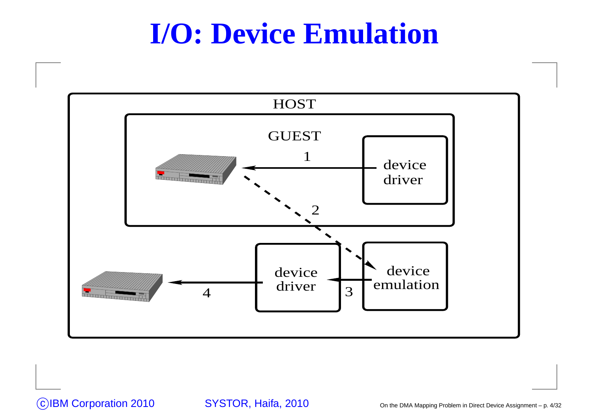#### **I/O: Device Emulation**

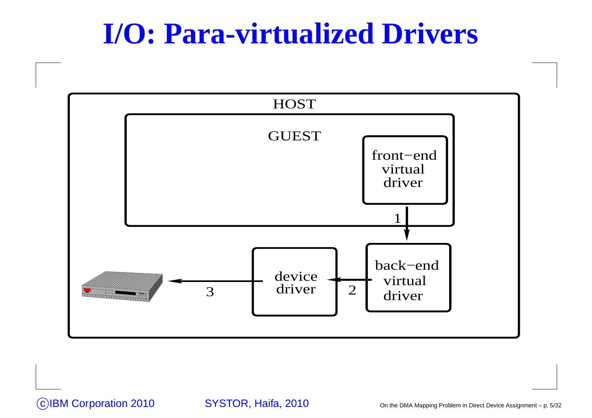#### **I/O: Para-virtualized Drivers**

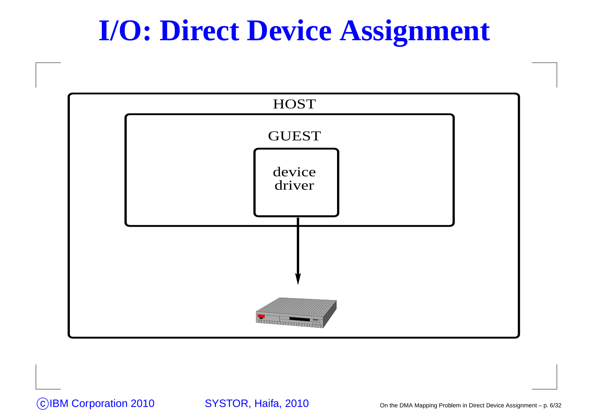## **I/O: Direct Device Assignment**

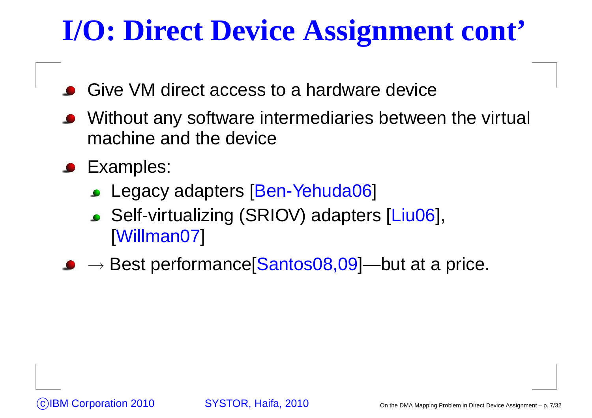## **I/O: Direct Device Assignment cont'**

- Give VM direct access to <sup>a</sup> hardware device
- Without any software intermediaries between the virtual machine and the device
- **C** Examples:
	- Legacy adapters [Ben-Yehuda06]
	- Self-virtualizing (SRIOV) adapters [Liu06], [Willman07]
- $\longrightarrow$  $\rightarrow$  Best performance[Santos08,09]—but at a price.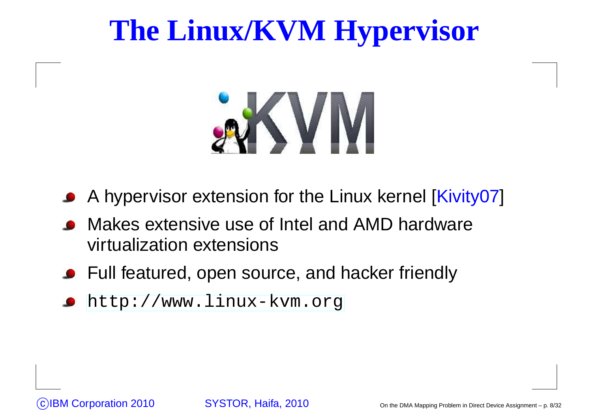## **The Linux/KVM Hypervisor**



- A hypervisor extension for the Linux kernel [Kivity07]
- Makes extensive use of Intel and AMD hardwarevirtualization extensions
- Full featured, open source, and hacker friendly
- [http://www](http://www.linux-kvm.org).[linux-kvm](http://www.linux-kvm.org).[o](http://www.linux-kvm.org)rg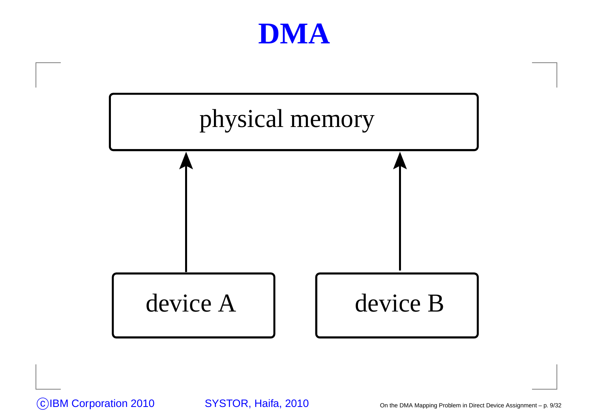



CIBM Corporation 2010 SYSTOR, Haifa, 2010

On the DMA Mapping Problem in Direct Device Assignment – p. 9/32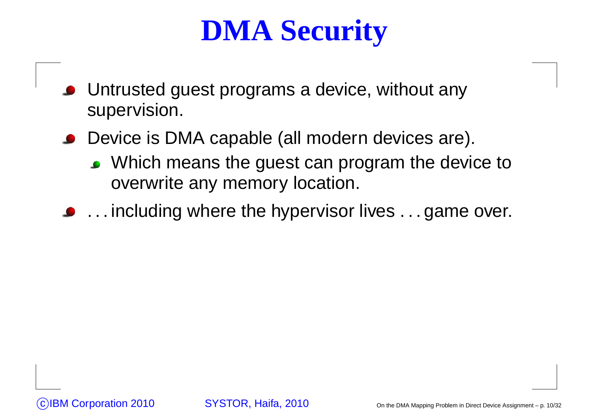## **DMA Security**

- Untrusted guest programs <sup>a</sup> device, without anysupervision.
- Device is DMA capable (all modern devices are).
	- Which means the guest can program the device to overwrite any memory location.
- **.** . . . including where the hypervisor lives . . . game over.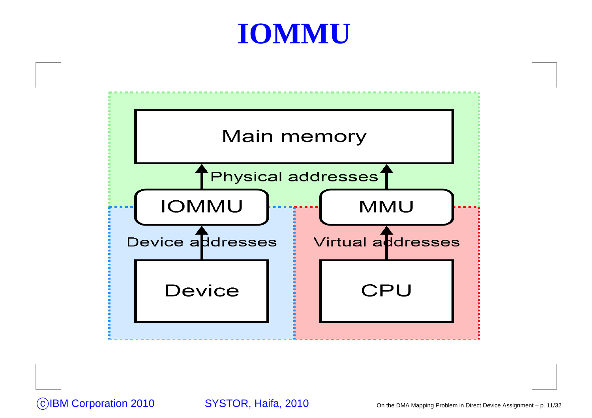#### **IOMMU**

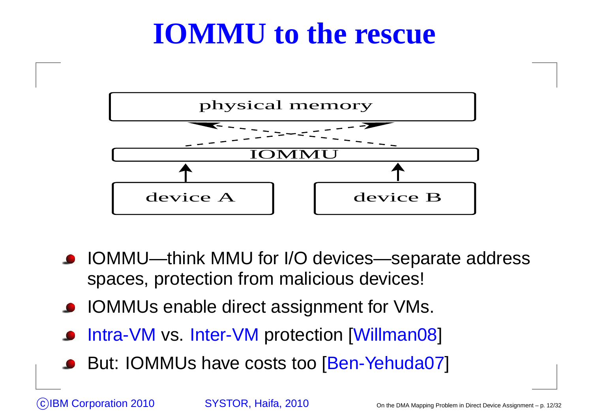#### **IOMMU to the rescue**



- IOMMU—think MMU for I/O devices—separate address spaces, protection from malicious devices!
- **IOMMUs enable direct assignment for VMs.**
- Intra-VM vs. Inter-VM protection [Willman08]
- But: IOMMUs have costs too [Ben-Yehuda07]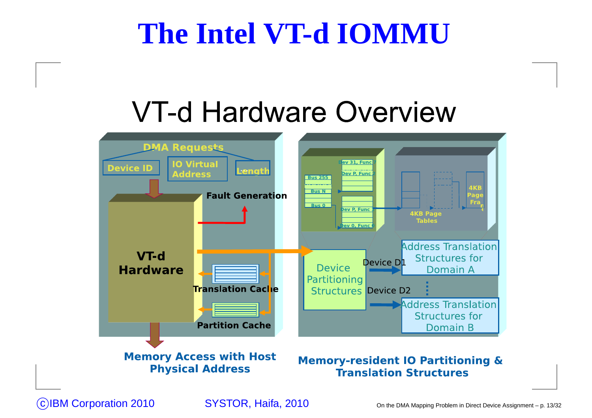#### **The Intel VT-d IOMMU**

#### VT-d Hardware Overview

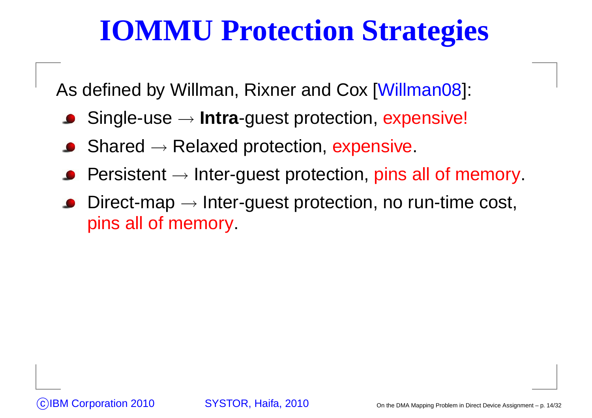## **IOMMU Protection Strategies**

As defined by Willman, Rixner and Cox [Willman08]:

- Single-usee → **Intra**-guest protection, expensive!<br>□
- Sharedd → Relaxed protection, expensive.<br>.
- Persistent  $\rightarrow$  $\rightarrow$  Inter-guest protection, pins all of memory.
- Direct-map → Inter-guest protection, no run-time cost,<br>pins all of memory pins all of memory.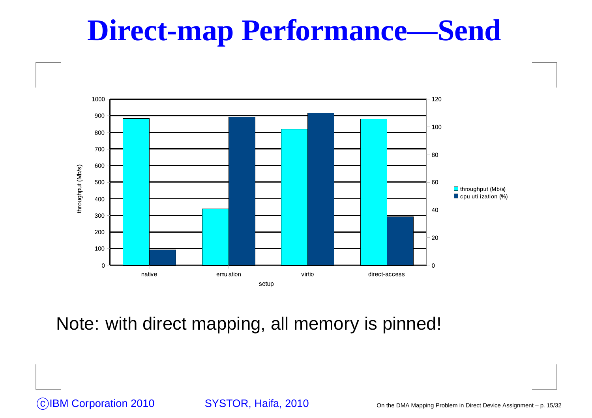## **Direct-map Performance—Send**



Note: with direct mapping, all memory is pinned!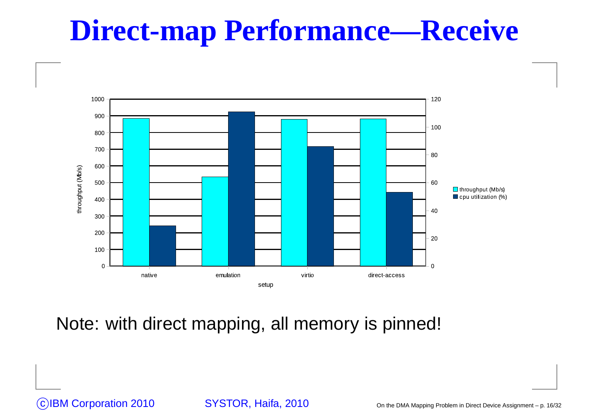#### **Direct-map Performance—Receive**



Note: with direct mapping, all memory is pinned!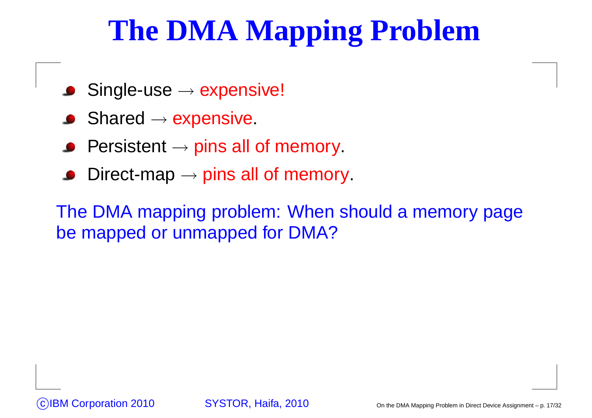## **The DMA Mapping Problem**

- Single-use $\mathsf{e}\to\mathsf{expensive}!$
- Shared<sup>→</sup> expensive.
- Persistent  $\rightarrow$  $\rightarrow$  pins all of memory.
- Direct-map  $\rightarrow$  $\rightarrow$  pins all of memory.

The DMA mapping problem: When should <sup>a</sup> memory pagebe mapped or unmapped for DMA?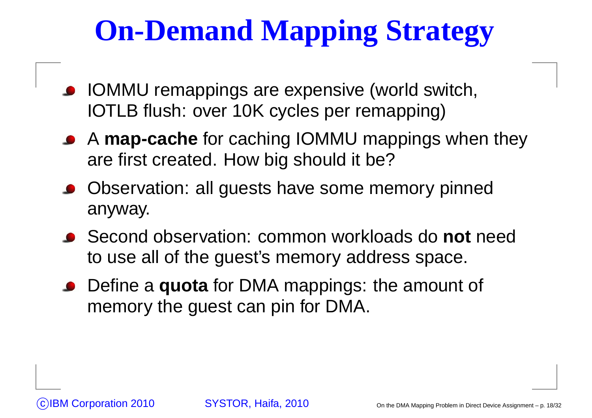# **On-Demand Mapping Strategy**

- IOMMU remappings are expensive (world switch, IOTLB flush: over 10K cycles per remapping)
- A **map-cache** for caching IOMMU mappings when they are first created. How big should it be?
- Observation: all guests have some memory pinnedanyway.
- Second observation: common workloads do **not** need to use all of the guest's memory address space.
- Define <sup>a</sup> **quota** for DMA mappings: the amount of memory the guest can pin for DMA.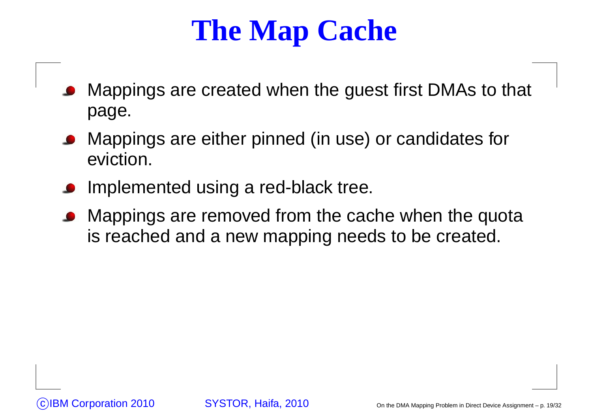## **The Map Cache**

- Mappings are created when the guest first DMAs to that page.
- Mappings are either pinned (in use) or candidates foreviction.
- Implemented using <sup>a</sup> red-black tree.
- Mappings are removed from the cache when the quotais reached and <sup>a</sup> new mapping needs to be created.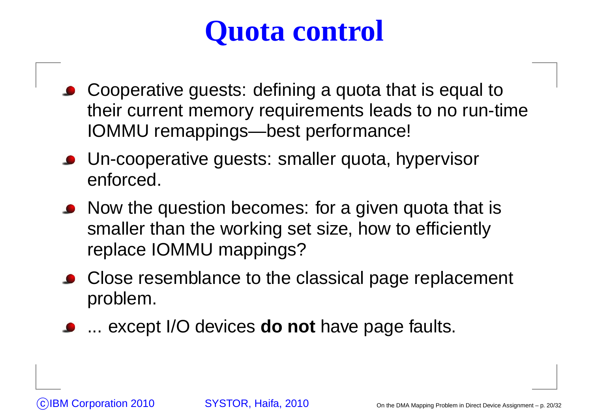## **Quota control**

- Cooperative guests: defining <sup>a</sup> quota that is equal to their current memory requirements leads to no run-timeIOMMU remappings—best performance!
- Un-cooperative guests: smaller quota, hypervisorenforced.
- Now the question becomes: for a given quota that is smaller than the working set size, how to efficientlyreplace IOMMU mappings?
- Close resemblance to the classical page replacement problem.
- ... except I/O devices **do not** have page faults.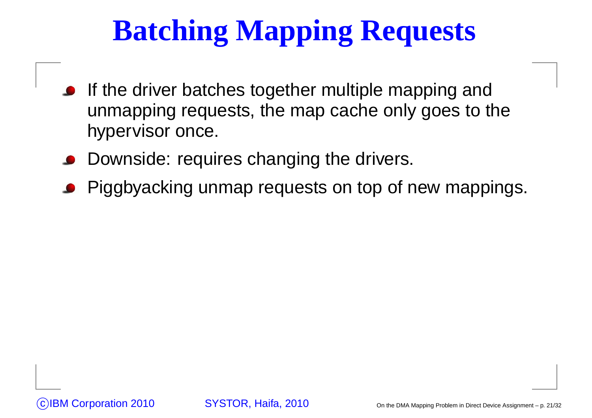# **Batching Mapping Requests**

- If the driver batches together multiple mapping and unmapping requests, the map cache only goes to thehypervisor once.
- Downside: requires changing the drivers.
- Piggbyacking unmap requests on top of new mappings.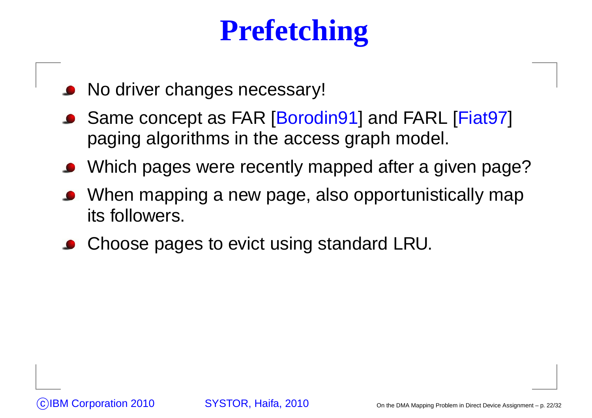## **Prefetching**

- No driver changes necessary!
- Same concept as FAR [Borodin91] and FARL [Fiat97] paging algorithms in the access graph model.
- Which pages were recently mapped after <sup>a</sup> given page?
- When mapping <sup>a</sup> new page, also opportunistically mapits followers.
- Choose pages to evict using standard LRU.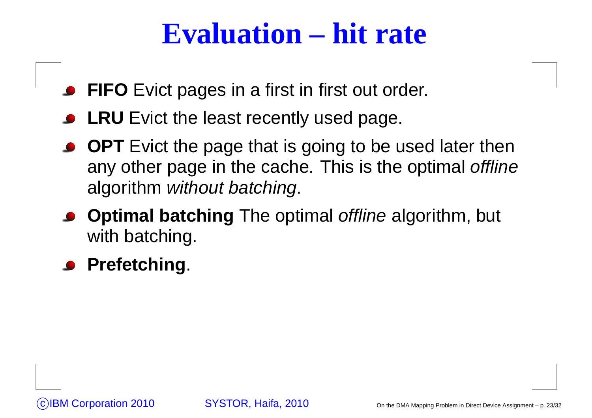#### **Evaluation – hit rate**

- **FIFO** Evict pages in <sup>a</sup> first in first out order.
- **LRU** Evict the least recently used page.
- **OPT** Evict the page that is going to be used later then any other page in the cache. This is the optimal offline algorithm *without batching*.
- **Optimal batching** The optimal offline algorithm, but with batching.

#### **Prefetching**.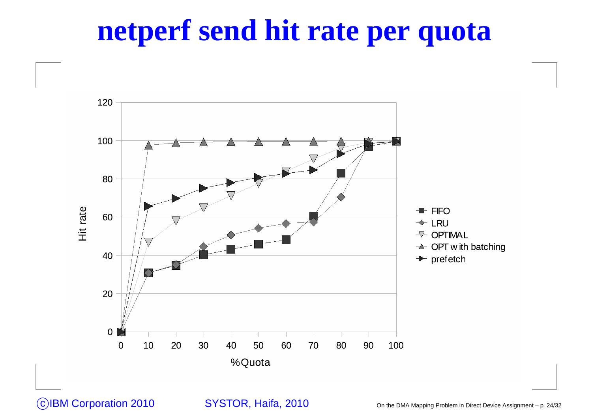#### **netperf send hit rate per quota**

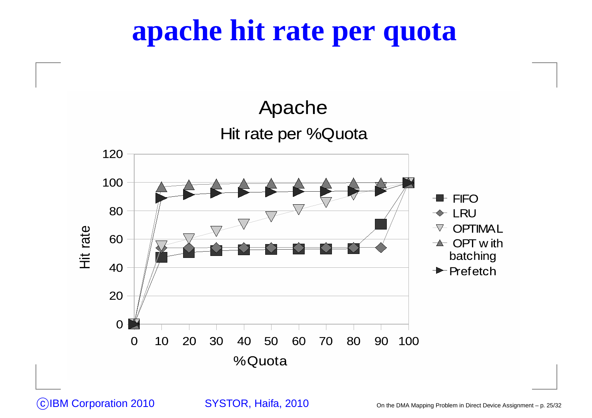#### **apache hit rate per quota**

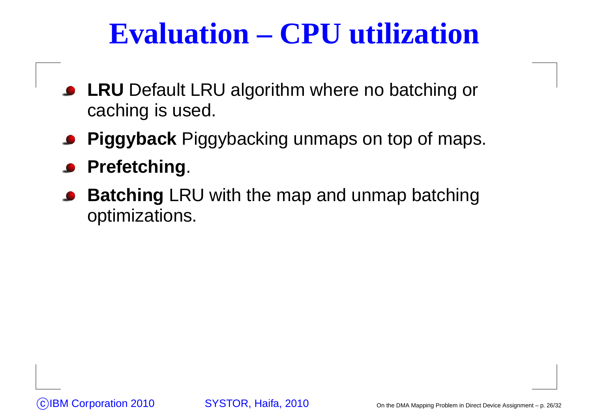## **Evaluation – CPU utilization**

- **LRU** Default LRU algorithm where no batching or caching is used.
- **Piggyback** Piggybacking unmaps on top of maps.
- **Prefetching**.
- **Batching** LRU with the map and unmap batching optimizations.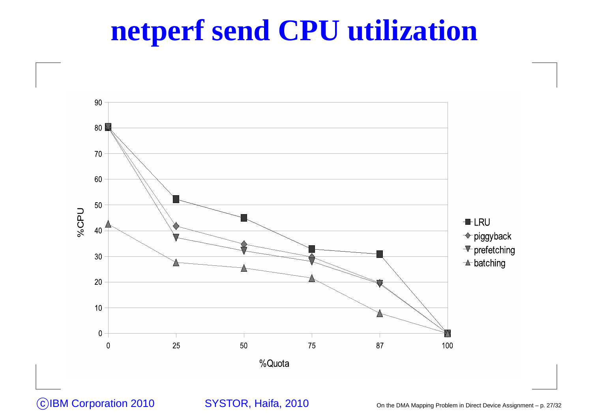#### **netperf send CPU utilization**

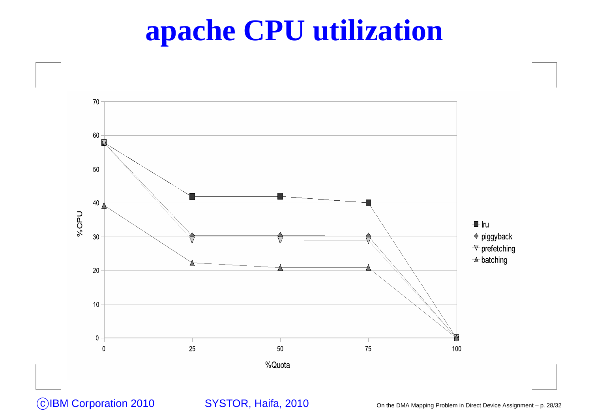#### **apache CPU utilization**

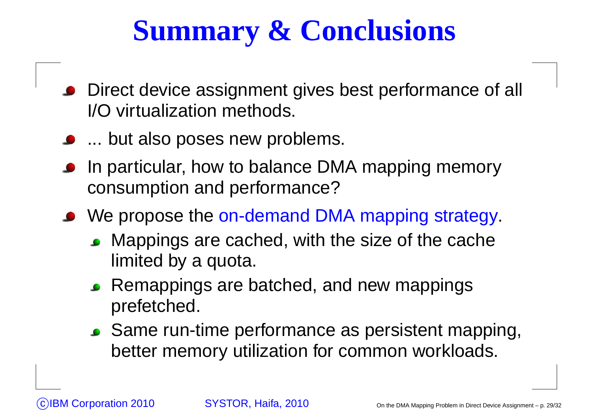## **Summary & Conclusions**

- Direct device assignment gives best performance of all I/O virtualization methods.
- **...** but also poses new problems.
- In particular, how to balance DMA mapping memoryconsumption and performance?
- We propose the <mark>on-demand DMA mapping strategy</mark>.
	- Mappings are cached, with the size of the cache limited by <sup>a</sup> quota.
	- Remappings are batched, and new mappingsprefetched.
	- Same run-time performance as persistent mapping, better memory utilization for common workloads.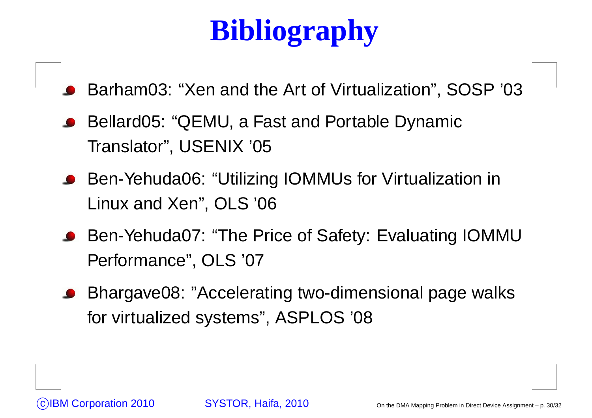# **Bibliography**

Barham03: "Xen and the Art of Virtualization", SOSP '03

- Bellard05: "QEMU, <sup>a</sup> Fast and Portable DynamicTranslator", USENIX '05
- Ben-Yehuda06: "Utilizing IOMMUs for Virtualization inLinux and Xen", OLS '06
- Ben-Yehuda07: "The Price of Safety: Evaluating IOMMU Performance", OLS '07
- Bhargave08: "Accelerating two-dimensional page walksfor virtualized systems", ASPLOS '08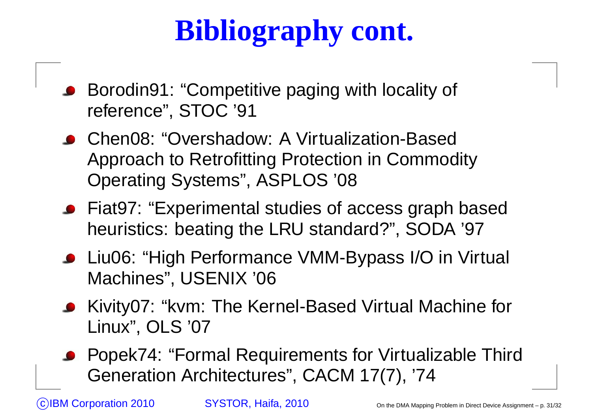# **Bibliography cont.**

- Borodin91: "Competitive paging with locality of reference", STOC '91
- Chen08: "Overshadow: A Virtualization-Based Approach to Retrofitting Protection in CommodityOperating Systems", ASPLOS '08
- Fiat97: "Experimental studies of access graph based heuristics: beating the LRU standard?", SODA '97
- Liu06: "High Performance VMM-Bypass I/O in Virtual Machines", USENIX '06
- Kivity07: "kvm: The Kernel-Based Virtual Machine forLinux", OLS '07
- Popek74: "Formal Requirements for Virtualizable Third Generation Architectures", CACM 17(7), '74